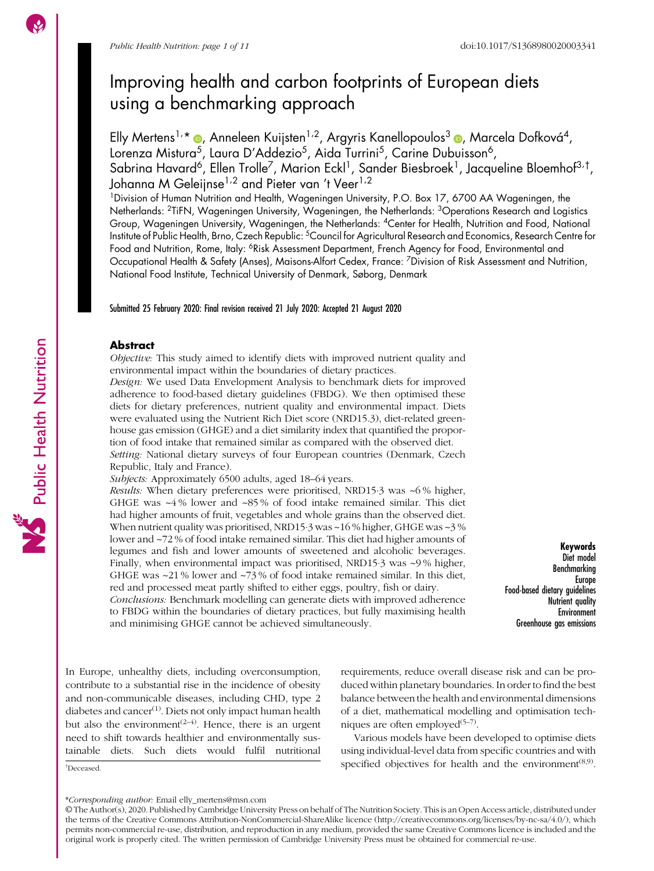# Improving health and carbon footprints of European diets using a benchmarking approach

Elly Mertens<sup>1,</sup>\* ®, Anneleen Kuijsten<sup>1,2</sup>, Argyris Kanellopoulos<sup>3</sup> ®, Marcela Dofková<sup>4</sup>, Lorenza Mistura<sup>5</sup>, Laura D'Addezio<sup>5</sup>, Aida Turrini<sup>5</sup>, Carine Dubuisson<sup>6</sup>, Sabrina Havard<sup>6</sup>, Ellen Trolle<sup>7</sup>, Marion Eckl<sup>1</sup>, Sander Biesbroek<sup>1</sup>, Jacqueline Bloemhof<sup>3,†</sup>, Johanna M Geleijnse<sup>1,2</sup> and Pieter van 't Veer<sup>1,2</sup>

<sup>1</sup>Division of Human Nutrition and Health, Wageningen University, P.O. Box 17, 6700 AA Wageningen, the Netherlands: 2TiFN, Wageningen University, Wageningen, the Netherlands: 3Operations Research and Logistics Group, Wageningen University, Wageningen, the Netherlands: 4Center for Health, Nutrition and Food, National Institute of Public Health, Brno, Czech Republic: 5Council for Agricultural Research and Economics, Research Centre for Food and Nutrition, Rome, Italy: 6Risk Assessment Department, French Agency for Food, Environmental and Occupational Health & Safety (Anses), Maisons-Alfort Cedex, France: 7Division of Risk Assessment and Nutrition, National Food Institute, Technical University of Denmark, Søborg, Denmark

Submitted 25 February 2020: Final revision received 21 July 2020: Accepted 21 August 2020

#### Abstract

Objective: This study aimed to identify diets with improved nutrient quality and environmental impact within the boundaries of dietary practices.

Design: We used Data Envelopment Analysis to benchmark diets for improved adherence to food-based dietary guidelines (FBDG). We then optimised these diets for dietary preferences, nutrient quality and environmental impact. Diets were evaluated using the Nutrient Rich Diet score (NRD15.3), diet-related greenhouse gas emission (GHGE) and a diet similarity index that quantified the proportion of food intake that remained similar as compared with the observed diet. Setting: National dietary surveys of four European countries (Denmark, Czech

Republic, Italy and France).

Subjects: Approximately 6500 adults, aged 18–64 years.

Results: When dietary preferences were prioritised, NRD15·3 was ~6 % higher, GHGE was ~4 % lower and ~85 % of food intake remained similar. This diet had higher amounts of fruit, vegetables and whole grains than the observed diet. When nutrient quality was prioritised, NRD15·3 was ~16 % higher, GHGE was ~3 % lower and ~72 % of food intake remained similar. This diet had higher amounts of legumes and fish and lower amounts of sweetened and alcoholic beverages. Finally, when environmental impact was prioritised, NRD15·3 was ~9 % higher, GHGE was ~21 % lower and ~73 % of food intake remained similar. In this diet, red and processed meat partly shifted to either eggs, poultry, fish or dairy. Conclusions: Benchmark modelling can generate diets with improved adherence to FBDG within the boundaries of dietary practices, but fully maximising health and minimising GHGE cannot be achieved simultaneously.

In Europe, unhealthy diets, including overconsumption, contribute to a substantial rise in the incidence of obesity and non-communicable diseases, including CHD, type 2 diabetes and cancer<sup>([1](#page-9-0))</sup>. Diets not only impact human health but also the environment<sup> $(2-4)$  $(2-4)$  $(2-4)$  $(2-4)$ </sup>. Hence, there is an urgent need to shift towards healthier and environmentally sustainable diets. Such diets would fulfil nutritional

requirements, reduce overall disease risk and can be produced within planetary boundaries. In order to find the best balance between the health and environmental dimensions of a diet, mathematical modelling and optimisation techniques are often employed<sup> $(5-7)$  $(5-7)$  $(5-7)$  $(5-7)$  $(5-7)$ </sup>.

Various models have been developed to optimise diets using individual-level data from specific countries and with The reason is the environment<sup>([8](#page-9-0),[9](#page-9-0))</sup>. Specified objectives for health and the environment<sup>(8,9)</sup>.

Keywords Diet model Benchmarking Europe Food-based dietary guidelines Nutrient quality Environment Greenhouse gas emissions

<sup>\*</sup>Corresponding author: Email elly\_mertens@msn.com

<sup>©</sup> The Author(s), 2020. Published by Cambridge University Press on behalf of The Nutrition Society. This is an Open Access article, distributed under the terms of the Creative Commons Attribution-NonCommercial-ShareAlike licence (<http://creativecommons.org/licenses/by-nc-sa/4.0/>), which permits non-commercial re-use, distribution, and reproduction in any medium, provided the same Creative Commons licence is included and the original work is properly cited. The written permission of Cambridge University Press must be obtained for commercial re-use.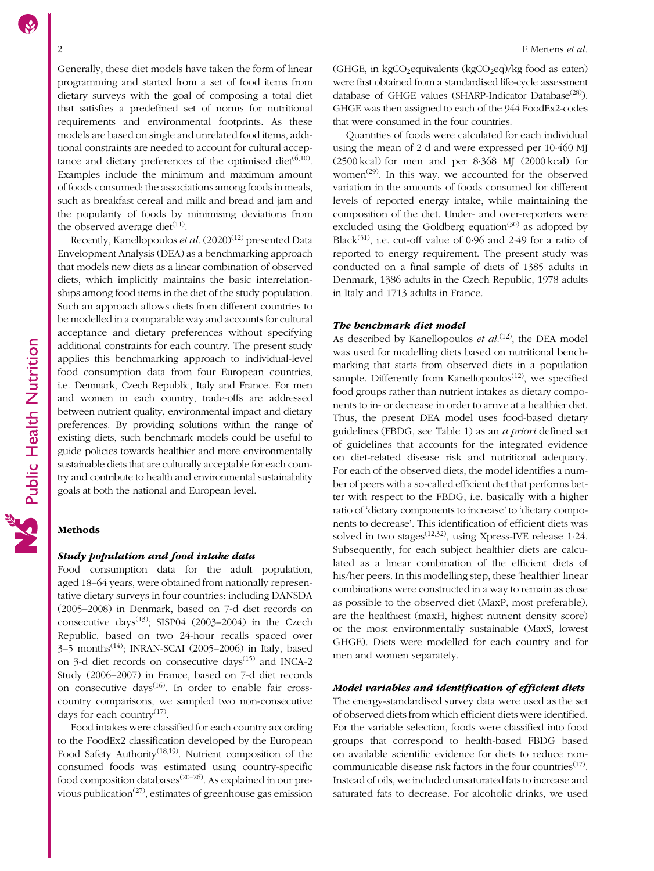Generally, these diet models have taken the form of linear programming and started from a set of food items from dietary surveys with the goal of composing a total diet that satisfies a predefined set of norms for nutritional requirements and environmental footprints. As these models are based on single and unrelated food items, additional constraints are needed to account for cultural acceptance and dietary preferences of the optimised diet<sup> $(6,10)$  $(6,10)$ </sup>. Examples include the minimum and maximum amount of foods consumed; the associations among foods in meals, such as breakfast cereal and milk and bread and jam and the popularity of foods by minimising deviations from the observed average diet<sup>[\(11\)](#page-9-0)</sup>.

Recently, Kanellopoulos et al.  $(2020)^{(12)}$  $(2020)^{(12)}$  $(2020)^{(12)}$  presented Data Envelopment Analysis (DEA) as a benchmarking approach that models new diets as a linear combination of observed diets, which implicitly maintains the basic interrelationships among food items in the diet of the study population. Such an approach allows diets from different countries to be modelled in a comparable way and accounts for cultural acceptance and dietary preferences without specifying additional constraints for each country. The present study applies this benchmarking approach to individual-level food consumption data from four European countries, i.e. Denmark, Czech Republic, Italy and France. For men and women in each country, trade-offs are addressed between nutrient quality, environmental impact and dietary preferences. By providing solutions within the range of existing diets, such benchmark models could be useful to guide policies towards healthier and more environmentally sustainable diets that are culturally acceptable for each country and contribute to health and environmental sustainability goals at both the national and European level.

# Methods

# Study population and food intake data

Food consumption data for the adult population, aged 18–64 years, were obtained from nationally representative dietary surveys in four countries: including DANSDA (2005–2008) in Denmark, based on 7-d diet records on consecutive days<sup>([13\)](#page-9-0)</sup>; SISP04 (2003–2004) in the Czech Republic, based on two 24-hour recalls spaced over  $3-5$  months<sup> $(14)$  $(14)$ </sup>; INRAN-SCAI (2005–2006) in Italy, based on 3-d diet records on consecutive days<sup>[\(15](#page-9-0))</sup> and INCA-2 Study (2006–2007) in France, based on 7-d diet records on consecutive days<sup>([16](#page-9-0))</sup>. In order to enable fair crosscountry comparisons, we sampled two non-consecutive days for each country<sup>[\(17](#page-9-0))</sup>.

Food intakes were classified for each country according to the FoodEx2 classification developed by the European Food Safety Authority<sup>[\(18,19](#page-9-0))</sup>. Nutrient composition of the consumed foods was estimated using country-specific food composition databases<sup> $(20-26)$  $(20-26)$  $(20-26)$ </sup>. As explained in our previous publication<sup> $(27)$ </sup>, estimates of greenhouse gas emission (GHGE, in kgCO<sub>2</sub>equivalents (kgCO<sub>2</sub>eq)/kg food as eaten) were first obtained from a standardised life-cycle assessment database of GHGE values (SHARP-Indicator Database<sup>[\(28\)](#page-9-0)</sup>). GHGE was then assigned to each of the 944 FoodEx2-codes that were consumed in the four countries.

Quantities of foods were calculated for each individual using the mean of 2 d and were expressed per 10·460 MJ (2500 kcal) for men and per 8·368 MJ (2000 kcal) for women<sup> $(29)$  $(29)$ </sup>. In this way, we accounted for the observed variation in the amounts of foods consumed for different levels of reported energy intake, while maintaining the composition of the diet. Under- and over-reporters were excluded using the Goldberg equation<sup>[\(30\)](#page-9-0)</sup> as adopted by Black<sup>[\(31\)](#page-9-0)</sup>, i.e. cut-off value of 0.96 and 2.49 for a ratio of reported to energy requirement. The present study was conducted on a final sample of diets of 1385 adults in Denmark, 1386 adults in the Czech Republic, 1978 adults in Italy and 1713 adults in France.

#### The benchmark diet model

As described by Kanellopoulos et  $al^{(12)}$  $al^{(12)}$  $al^{(12)}$ , the DEA model was used for modelling diets based on nutritional benchmarking that starts from observed diets in a population sample. Differently from Kanellopoulos<sup> $(12)$ </sup>, we specified food groups rather than nutrient intakes as dietary components to in- or decrease in order to arrive at a healthier diet. Thus, the present DEA model uses food-based dietary guidelines (FBDG, see Table [1](#page-2-0)) as an a priori defined set of guidelines that accounts for the integrated evidence on diet-related disease risk and nutritional adequacy. For each of the observed diets, the model identifies a number of peers with a so-called efficient diet that performs better with respect to the FBDG, i.e. basically with a higher ratio of 'dietary components to increase' to 'dietary components to decrease'. This identification of efficient diets was solved in two stages<sup>[\(12,32](#page-9-0))</sup>, using Xpress-IVE release 1.24. Subsequently, for each subject healthier diets are calculated as a linear combination of the efficient diets of his/her peers. In this modelling step, these 'healthier' linear combinations were constructed in a way to remain as close as possible to the observed diet (MaxP, most preferable), are the healthiest (maxH, highest nutrient density score) or the most environmentally sustainable (MaxS, lowest GHGE). Diets were modelled for each country and for men and women separately.

#### Model variables and identification of efficient diets

The energy-standardised survey data were used as the set of observed diets from which efficient diets were identified. For the variable selection, foods were classified into food groups that correspond to health-based FBDG based on available scientific evidence for diets to reduce noncommunicable disease risk factors in the four countries $(17)$ . Instead of oils, we included unsaturated fats to increase and saturated fats to decrease. For alcoholic drinks, we used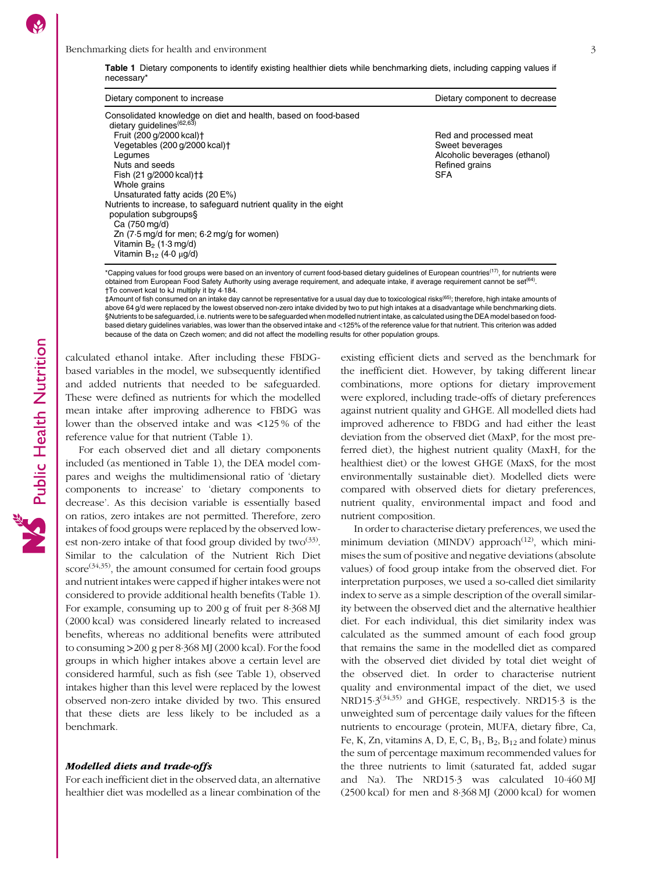|  | ۰ |  |  |
|--|---|--|--|
|  |   |  |  |
|  |   |  |  |

<span id="page-2-0"></span>Table 1 Dietary components to identify existing healthier diets while benchmarking diets, including capping values if necessary\*

| Dietary component to increase | Dietary component to decrease |
|-------------------------------|-------------------------------|
|                               |                               |

| Consolidated knowledge on diet and health, based on food-based<br>dietary guidelines <sup>(62,63)</sup> |                                           |
|---------------------------------------------------------------------------------------------------------|-------------------------------------------|
| Fruit (200 g/2000 kcal)+<br>Vegetables (200 g/2000 kcal)+                                               | Red and processed meat<br>Sweet beverages |
| Legumes                                                                                                 | Alcoholic beverages (ethanol)             |
| Nuts and seeds                                                                                          | Refined grains                            |
| Fish (21 g/2000 kcal)†‡                                                                                 | <b>SFA</b>                                |
| Whole grains                                                                                            |                                           |
| Unsaturated fatty acids (20 E%)                                                                         |                                           |
| Nutrients to increase, to safeguard nutrient quality in the eight                                       |                                           |
| population subgroups§                                                                                   |                                           |
| Ca (750 mg/d)                                                                                           |                                           |
| Zn $(7.5 \text{ mg/d} \text{ for men}; 6.2 \text{ mg/g} \text{ for women})$                             |                                           |
| Vitamin $B_2$ (1.3 mg/d)                                                                                |                                           |
| Vitamin $B_{12}$ (4.0 µg/d)                                                                             |                                           |

\*Capping values for food groups were based on an inventory of current food-based dietary guidelines of European countries([17\)](#page-9-0), for nutrients were obtained from European Food Safety Authority using average requirement, and adequate intake, if average requirement cannot be set([64\)](#page-10-0). †To convert kcal to kJ multiply it by 4·184.

‡Amount of fish consumed on an intake day cannot be representative for a usual day due to toxicological risks([65\)](#page-10-0); therefore, high intake amounts of above 64 g/d were replaced by the lowest observed non-zero intake divided by two to put high intakes at a disadvantage while benchmarking diets. §Nutrients to be safeguarded, i.e. nutrients were to be safeguarded when modelled nutrient intake, as calculated using the DEA model based on foodbased dietary guidelines variables, was lower than the observed intake and <125% of the reference value for that nutrient. This criterion was added because of the data on Czech women; and did not affect the modelling results for other population groups.

calculated ethanol intake. After including these FBDGbased variables in the model, we subsequently identified and added nutrients that needed to be safeguarded. These were defined as nutrients for which the modelled mean intake after improving adherence to FBDG was lower than the observed intake and was <125 % of the reference value for that nutrient (Table 1).

For each observed diet and all dietary components included (as mentioned in Table 1), the DEA model compares and weighs the multidimensional ratio of 'dietary components to increase' to 'dietary components to decrease'. As this decision variable is essentially based on ratios, zero intakes are not permitted. Therefore, zero intakes of food groups were replaced by the observed lowest non-zero intake of that food group divided by two $(33)$  $(33)$  $(33)$ . Similar to the calculation of the Nutrient Rich Diet  $score^{(34,35)}$  $score^{(34,35)}$  $score^{(34,35)}$  $score^{(34,35)}$  $score^{(34,35)}$ , the amount consumed for certain food groups and nutrient intakes were capped if higher intakes were not considered to provide additional health benefits (Table 1). For example, consuming up to 200 g of fruit per 8·368 MJ (2000 kcal) was considered linearly related to increased benefits, whereas no additional benefits were attributed to consuming >200 g per 8·368 MJ (2000 kcal). For the food groups in which higher intakes above a certain level are considered harmful, such as fish (see Table 1), observed intakes higher than this level were replaced by the lowest observed non-zero intake divided by two. This ensured that these diets are less likely to be included as a benchmark.

#### Modelled diets and trade-offs

For each inefficient diet in the observed data, an alternative healthier diet was modelled as a linear combination of the existing efficient diets and served as the benchmark for the inefficient diet. However, by taking different linear combinations, more options for dietary improvement were explored, including trade-offs of dietary preferences against nutrient quality and GHGE. All modelled diets had improved adherence to FBDG and had either the least deviation from the observed diet (MaxP, for the most preferred diet), the highest nutrient quality (MaxH, for the healthiest diet) or the lowest GHGE (MaxS, for the most environmentally sustainable diet). Modelled diets were compared with observed diets for dietary preferences, nutrient quality, environmental impact and food and nutrient composition.

In order to characterise dietary preferences, we used the minimum deviation (MINDV) approach<sup> $(12)$ </sup>, which minimises the sum of positive and negative deviations (absolute values) of food group intake from the observed diet. For interpretation purposes, we used a so-called diet similarity index to serve as a simple description of the overall similarity between the observed diet and the alternative healthier diet. For each individual, this diet similarity index was calculated as the summed amount of each food group that remains the same in the modelled diet as compared with the observed diet divided by total diet weight of the observed diet. In order to characterise nutrient quality and environmental impact of the diet, we used NRD15 $\cdot$ 3<sup>([34](#page-10-0),[35\)](#page-10-0)</sup> and GHGE, respectively. NRD15 $\cdot$ 3 is the unweighted sum of percentage daily values for the fifteen nutrients to encourage (protein, MUFA, dietary fibre, Ca, Fe, K, Zn, vitamins A, D, E, C,  $B_1$ ,  $B_2$ ,  $B_{12}$  and folate) minus the sum of percentage maximum recommended values for the three nutrients to limit (saturated fat, added sugar and Na). The NRD15·3 was calculated 10·460 MJ (2500 kcal) for men and 8·368 MJ (2000 kcal) for women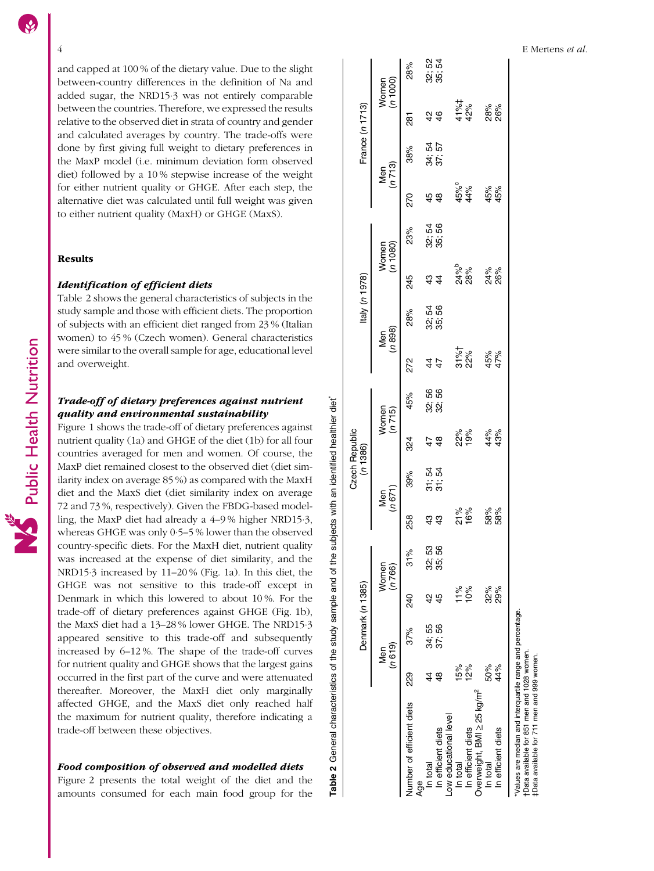and capped at 100 % of the dietary value. Due to the slight between-country differences in the definition of Na and added sugar, the NRD15·3 was not entirely comparable between the countries. Therefore, we expressed the results relative to the observed diet in strata of country and gender and calculated averages by country. The trade-offs were done by first giving full weight to dietary preferences in the MaxP model (i.e. minimum deviation form observed diet) followed by a 10 % stepwise increase of the weight for either nutrient quality or GHGE. After each step, the alternative diet was calculated until full weight was given to either nutrient quality (MaxH) or GHGE (MaxS).

### Results

## Identification of efficient diets

Table 2 shows the general characteristics of subjects in the study sample and those with efficient diets. The proportion of subjects with an efficient diet ranged from 23 % (Italian women) to 45 % (Czech women). General characteristics were similar to the overall sample for age, educational level and overweight.

# Trade-off of dietary preferences against nutrient quality and environmental sustainability

Figure [1](#page-4-0) shows the trade-off of dietary preferences against nutrient quality (1a) and GHGE of the diet (1b) for all four countries averaged for men and women. Of course, the MaxP diet remained closest to the observed diet (diet similarity index on average 85 %) as compared with the MaxH diet and the MaxS diet (diet similarity index on average 72 and 73 %, respectively). Given the FBDG-based modelling, the MaxP diet had already a 4–9 % higher NRD15·3, whereas GHGE was only 0·5–5 % lower than the observed country-specific diets. For the MaxH diet, nutrient quality was increased at the expense of diet similarity, and the NRD15·3 increased by 11–20 % (Fig. [1a](#page-4-0)). In this diet, the GHGE was not sensitive to this trade-off except in Denmark in which this lowered to about 10 %. For the trade-off of dietary preferences against GHGE (Fig. [1b](#page-4-0)), the MaxS diet had a 13–28 % lower GHGE. The NRD15·3 appeared sensitive to this trade-off and subsequently increased by 6–12 %. The shape of the trade-off curves for nutrient quality and GHGE shows that the largest gains occurred in the first part of the curve and were attenuated thereafter. Moreover, the MaxH diet only marginally affected GHGE, and the MaxS diet only reached half the maximum for nutrient quality, therefore indicating a trade-off between these objectives.

# Food composition of observed and modelled diets

Figure [2](#page-5-0) presents the total weight of the diet and the amounts consumed for each main food group for the

|                               |       |                  |        |     |        | Czech Republic |        |     |      |               |         |     |        |                 |          |
|-------------------------------|-------|------------------|--------|-----|--------|----------------|--------|-----|------|---------------|---------|-----|--------|-----------------|----------|
|                               |       | Denmark (n 1385) | I      |     |        |                |        |     |      | taly (n 1978) |         |     |        | France (n 1713) |          |
|                               | vlen  |                  | Vomen  |     | Ven    |                | Nomen  |     | Men  |               | Nomen   |     | √en    |                 | Nomen    |
|                               | (619) |                  | (n766) |     | (1/9u) |                | n 715) |     | n898 |               | n 1080) |     | n 713) |                 | (0001 u) |
| lumber of efficient diets 229 |       | 37% 240          | $31\%$ | 258 | 39%    | 324            | 45%    | 272 | 28%  | 245           | 23%     | 220 | 38%    | ౙ               | 28%      |

52<br>54

 $\ddot{\Omega}$  is

 $\frac{\Omega}{4}$ 

34; 57<br>37; 57

<u>ပ္ပံ</u> ထိ

 $360$ 

ន្ល នូ

ದೆ ≭

3 S .<br>೧೯೮

 $\frac{4}{4}$ 

56<br>56

 $\ddot{\textrm{a}}\,\ddot{\textrm{a}}$ 

 $\frac{1}{2}$ 

 $31;54$ <br> $31;54$ 

<u>ಞ ಞ</u>

<u>នូ</u>  $25.5$ 

 $49$ 

55<br>56  $35.5$ 

 $\frac{4}{3}$ 

 $11%142%$ 

 $45%$ <br>44%

24%<br>28%

 $\frac{31\%}{22\%}$ 

28%<br>26%

 $45%$ <br> $45%$ 

24%<br>26%

45%<br>47%

In total 15% 11% 21% 22% 31%† 24%b 45%c 41%‡ In efficient diets 12% 10% 16% 19% 22% 28% 44% 42%

2%<br>19%

21%<br>16%

 $\frac{8}{10}$ 

 $15%$ <br> $12%$ 

Age

total

 $\overline{\mathbf{a}}$ 

Low educational level

In total

In efficient diets<br>-ow educational level

Overweight, BMI

 $\geq$  25 kg/m<sup>2</sup>

Table 2 General characteristics of the study sample and of the subjects with an identified healthier diet\*

Table 2

General characteristics of the study sample and of the subjects with an identified healthier

.<br>diet

<span id="page-3-0"></span>4 E Mertens *et al.* 

In total 50% 32% 58% 44% 45% 24% 45% 28% In efficient diets 44% 29% 58% 43% 47% 26% 45% 26% 13%<br>28% 58%<br>58% 32%<br>29% \*Values are median and interquartile range and percentage. "Values are median and interquartile range and percentage<br>†Data available for 851 men and 1028 women.<br>‡Data available for 711 men and 999 women. †Data available for 851 men and 1028 women. ‡Data available for 711 men and 999 women. 50%<br>44% In efficient diets total 흐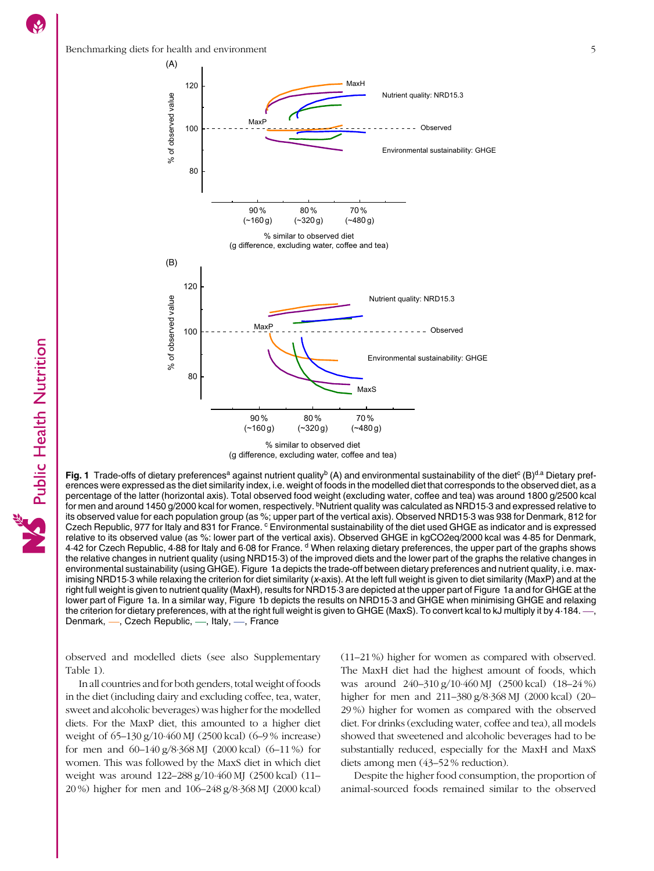Public Health Nutrition

<span id="page-4-0"></span>

(g difference, excluding water, coffee and tea)

Fig. 1 Trade-offs of dietary preferences<sup>a</sup> against nutrient quality<sup>b</sup> (A) and environmental sustainability of the diet<sup>c</sup> (B)<sup>d.a</sup> Dietary preferences were expressed as the diet similarity index, i.e. weight of foods in the modelled diet that corresponds to the observed diet, as a percentage of the latter (horizontal axis). Total observed food weight (excluding water, coffee and tea) was around 1800 g/2500 kcal for men and around 1450 g/2000 kcal for women, respectively. <sup>b</sup>Nutrient quality was calculated as NRD15-3 and expressed relative to its observed value for each population group (as %; upper part of the vertical axis). Observed NRD15·3 was 938 for Denmark, 812 for Czech Republic, 977 for Italy and 831 for France. <sup>c</sup> Environmental sustainability of the diet used GHGE as indicator and is expressed relative to its observed value (as %: lower part of the vertical axis). Observed GHGE in kgCO2eq/2000 kcal was 4·85 for Denmark, 4.42 for Czech Republic, 4.88 for Italy and 6.08 for France. <sup>d</sup> When relaxing dietary preferences, the upper part of the graphs shows the relative changes in nutrient quality (using NRD15·3) of the improved diets and the lower part of the graphs the relative changes in environmental sustainability (using GHGE). Figure 1a depicts the trade-off between dietary preferences and nutrient quality, i.e. maximising NRD15·3 while relaxing the criterion for diet similarity (x-axis). At the left full weight is given to diet similarity (MaxP) and at the right full weight is given to nutrient quality (MaxH), results for NRD15·3 are depicted at the upper part of Figure 1a and for GHGE at the lower part of Figure 1a. In a similar way, Figure 1b depicts the results on NRD15·3 and GHGE when minimising GHGE and relaxing the criterion for dietary preferences, with at the right full weight is given to GHGE (MaxS). To convert kcal to kJ multiply it by 4·184. -Denmark, -, Czech Republic, -, Italy, -, France

observed and modelled diets (see also Supplementary Table [1\)](https://doi.org/10.1017/S1368980020003341).

In all countries and for both genders, total weight of foods in the diet (including dairy and excluding coffee, tea, water, sweet and alcoholic beverages) was higher for the modelled diets. For the MaxP diet, this amounted to a higher diet weight of 65–130 g/10·460 MJ (2500 kcal) (6–9 % increase) for men and 60–140 g/8·368 MJ (2000 kcal) (6–11 %) for women. This was followed by the MaxS diet in which diet weight was around 122–288 g/10·460 MJ (2500 kcal) (11– 20 %) higher for men and 106–248 g/8·368 MJ (2000 kcal) (11–21 %) higher for women as compared with observed. The MaxH diet had the highest amount of foods, which was around 240–310 g/10·460 MJ (2500 kcal) (18–24 %) higher for men and 211–380 g/8·368 MJ (2000 kcal) (20– 29 %) higher for women as compared with the observed diet. For drinks (excluding water, coffee and tea), all models showed that sweetened and alcoholic beverages had to be substantially reduced, especially for the MaxH and MaxS diets among men (43–52 % reduction).

Despite the higher food consumption, the proportion of animal-sourced foods remained similar to the observed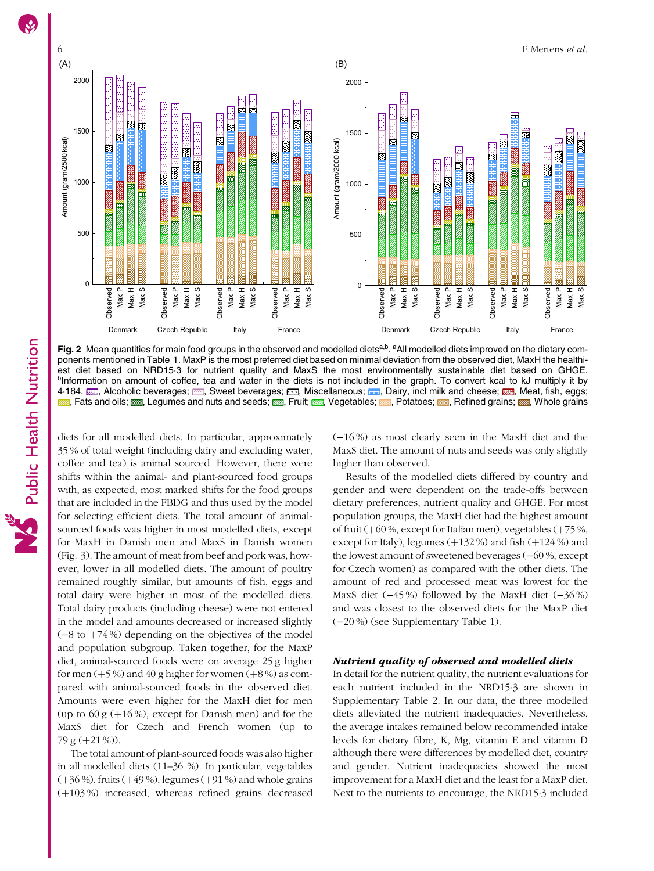<span id="page-5-0"></span>

Fig. 2 Mean quantities for main food groups in the observed and modelled diets<sup>a,b</sup>. <sup>a</sup>All modelled diets improved on the dietary components mentioned in Table [1](#page-2-0). MaxP is the most preferred diet based on minimal deviation from the observed diet, MaxH the healthiest diet based on NRD15·3 for nutrient quality and MaxS the most environmentally sustainable diet based on GHGE. bInformation on amount of coffee, tea and water in the diets is not included in the graph. To convert kcal to kJ multiply it by 4·184.  $\frac{1}{2}$ , Alcoholic beverages;  $\frac{1}{2}$ , Sweet beverages;  $\frac{1}{2}$ , Miscellaneous;  $\frac{1}{2}$ , Dairy, incl milk and cheese;  $\frac{1}{2}$ , Meat, fish, eggs; , Fats and oils; , Legumes and nuts and seeds; , Fruit; , Vegetables; , Potatoes; , Refined grains; , Whole grains

diets for all modelled diets. In particular, approximately 35 % of total weight (including dairy and excluding water, coffee and tea) is animal sourced. However, there were shifts within the animal- and plant-sourced food groups with, as expected, most marked shifts for the food groups that are included in the FBDG and thus used by the model for selecting efficient diets. The total amount of animalsourced foods was higher in most modelled diets, except for MaxH in Danish men and MaxS in Danish women (Fig. [3](#page-6-0)). The amount of meat from beef and pork was, however, lower in all modelled diets. The amount of poultry remained roughly similar, but amounts of fish, eggs and total dairy were higher in most of the modelled diets. Total dairy products (including cheese) were not entered in the model and amounts decreased or increased slightly  $(-8 \text{ to } +74 \%)$  depending on the objectives of the model and population subgroup. Taken together, for the MaxP diet, animal-sourced foods were on average 25 g higher for men  $(+5\%)$  and 40 g higher for women  $(+8\%)$  as compared with animal-sourced foods in the observed diet. Amounts were even higher for the MaxH diet for men (up to  $60 g (+16 \%)$ , except for Danish men) and for the MaxS diet for Czech and French women (up to 79 g  $(+21\%)$ .

The total amount of plant-sourced foods was also higher in all modelled diets (11–36 %). In particular, vegetables  $(+36%)$ , fruits  $(+49%)$ , legumes  $(+91%)$  and whole grains  $(+103%)$  increased, whereas refined grains decreased (−16 %) as most clearly seen in the MaxH diet and the MaxS diet. The amount of nuts and seeds was only slightly higher than observed.

Results of the modelled diets differed by country and gender and were dependent on the trade-offs between dietary preferences, nutrient quality and GHGE. For most population groups, the MaxH diet had the highest amount of fruit  $(+60\%, \text{except for Italian men})$ , vegetables  $(+75\%,$ except for Italy), legumes  $(+132\%)$  and fish  $(+124\%)$  and the lowest amount of sweetened beverages (−60 %, except for Czech women) as compared with the other diets. The amount of red and processed meat was lowest for the MaxS diet (−45 %) followed by the MaxH diet (−36 %) and was closest to the observed diets for the MaxP diet (−20 %) (see Supplementary Table [1\)](https://doi.org/10.1017/S1368980020003341).

#### Nutrient quality of observed and modelled diets

In detail for the nutrient quality, the nutrient evaluations for each nutrient included in the NRD15·3 are shown in Supplementary Table [2.](https://doi.org/10.1017/S1368980020003341) In our data, the three modelled diets alleviated the nutrient inadequacies. Nevertheless, the average intakes remained below recommended intake levels for dietary fibre, K, Mg, vitamin E and vitamin D although there were differences by modelled diet, country and gender. Nutrient inadequacies showed the most improvement for a MaxH diet and the least for a MaxP diet. Next to the nutrients to encourage, the NRD15·3 included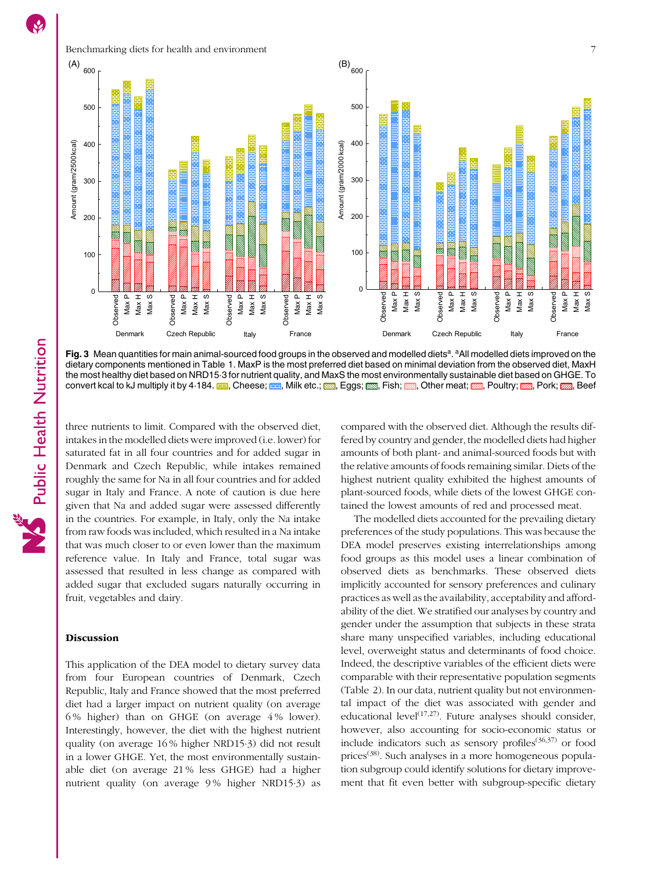<span id="page-6-0"></span>Benchmarking diets for health and environment 7



Fig. 3 Mean quantities for main animal-sourced food groups in the observed and modelled diets<sup>a, a</sup>All modelled diets improved on the dietary components mentioned in Table [1](#page-2-0). MaxP is the most preferred diet based on minimal deviation from the observed diet, MaxH the most healthy diet based on NRD15·3 for nutrient quality, and MaxS the most environmentally sustainable diet based on GHGE. To convert kcal to kJ multiply it by 4-184. **Ford**, Cheese; **Ford**, Milk etc.; **, Song**, Eggs; , Essh; , *Milk etc.*, , Other meat; , , , Poultry; , , Pork; , , Beef

three nutrients to limit. Compared with the observed diet, intakes in the modelled diets were improved (i.e. lower) for saturated fat in all four countries and for added sugar in Denmark and Czech Republic, while intakes remained roughly the same for Na in all four countries and for added sugar in Italy and France. A note of caution is due here given that Na and added sugar were assessed differently in the countries. For example, in Italy, only the Na intake from raw foods was included, which resulted in a Na intake that was much closer to or even lower than the maximum reference value. In Italy and France, total sugar was assessed that resulted in less change as compared with added sugar that excluded sugars naturally occurring in fruit, vegetables and dairy.

#### **Discussion**

This application of the DEA model to dietary survey data from four European countries of Denmark, Czech Republic, Italy and France showed that the most preferred diet had a larger impact on nutrient quality (on average 6 % higher) than on GHGE (on average 4 % lower). Interestingly, however, the diet with the highest nutrient quality (on average 16 % higher NRD15·3) did not result in a lower GHGE. Yet, the most environmentally sustainable diet (on average 21 % less GHGE) had a higher nutrient quality (on average 9% higher NRD15.3) as compared with the observed diet. Although the results differed by country and gender, the modelled diets had higher amounts of both plant- and animal-sourced foods but with the relative amounts of foods remaining similar. Diets of the highest nutrient quality exhibited the highest amounts of plant-sourced foods, while diets of the lowest GHGE contained the lowest amounts of red and processed meat.

The modelled diets accounted for the prevailing dietary preferences of the study populations. This was because the DEA model preserves existing interrelationships among food groups as this model uses a linear combination of observed diets as benchmarks. These observed diets implicitly accounted for sensory preferences and culinary practices as well as the availability, acceptability and affordability of the diet. We stratified our analyses by country and gender under the assumption that subjects in these strata share many unspecified variables, including educational level, overweight status and determinants of food choice. Indeed, the descriptive variables of the efficient diets were comparable with their representative population segments (Table [2](#page-3-0)). In our data, nutrient quality but not environmental impact of the diet was associated with gender and educational level $(17,27)$  $(17,27)$ . Future analyses should consider, however, also accounting for socio-economic status or include indicators such as sensory profiles $(36,37)$  $(36,37)$  or food prices<sup> $(38)$  $(38)$  $(38)$ </sup>. Such analyses in a more homogeneous population subgroup could identify solutions for dietary improvement that fit even better with subgroup-specific dietary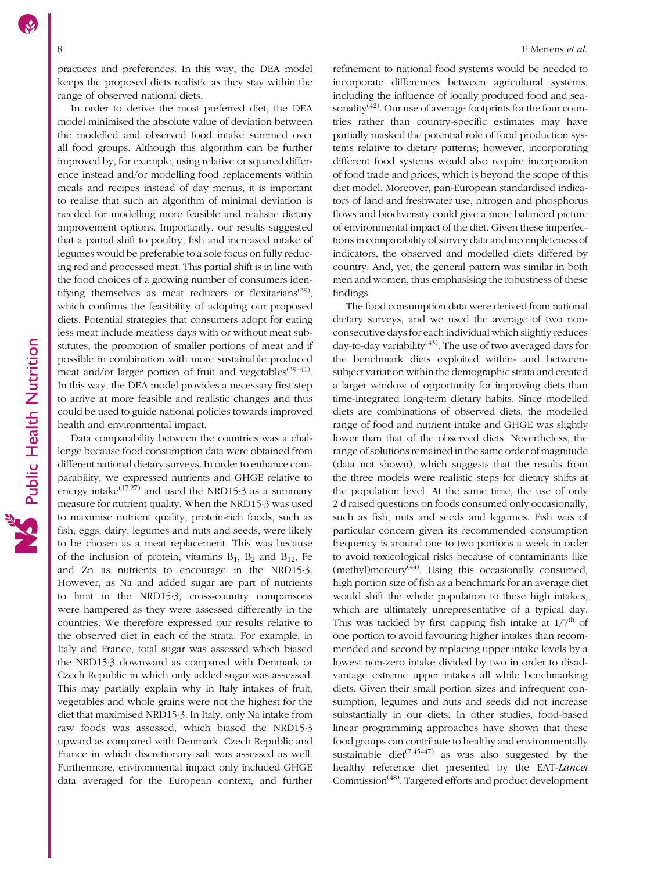practices and preferences. In this way, the DEA model keeps the proposed diets realistic as they stay within the range of observed national diets.

In order to derive the most preferred diet, the DEA model minimised the absolute value of deviation between the modelled and observed food intake summed over all food groups. Although this algorithm can be further improved by, for example, using relative or squared difference instead and/or modelling food replacements within meals and recipes instead of day menus, it is important to realise that such an algorithm of minimal deviation is needed for modelling more feasible and realistic dietary improvement options. Importantly, our results suggested that a partial shift to poultry, fish and increased intake of legumes would be preferable to a sole focus on fully reducing red and processed meat. This partial shift is in line with the food choices of a growing number of consumers identifying themselves as meat reducers or flexitarians<sup> $(39)$  $(39)$ </sup>. which confirms the feasibility of adopting our proposed diets. Potential strategies that consumers adopt for eating less meat include meatless days with or without meat substitutes, the promotion of smaller portions of meat and if possible in combination with more sustainable produced meat and/or larger portion of fruit and vegetables<sup> $(39-41)$  $(39-41)$  $(39-41)$  $(39-41)$ </sup>. In this way, the DEA model provides a necessary first step to arrive at more feasible and realistic changes and thus could be used to guide national policies towards improved health and environmental impact.

Data comparability between the countries was a challenge because food consumption data were obtained from different national dietary surveys. In order to enhance comparability, we expressed nutrients and GHGE relative to energy intake $(17,27)$  $(17,27)$  $(17,27)$  $(17,27)$  and used the NRD15 $\cdot$ 3 as a summary measure for nutrient quality. When the NRD15·3 was used to maximise nutrient quality, protein-rich foods, such as fish, eggs, dairy, legumes and nuts and seeds, were likely to be chosen as a meat replacement. This was because of the inclusion of protein, vitamins  $B_1$ ,  $B_2$  and  $B_{12}$ , Fe and Zn as nutrients to encourage in the NRD15·3. However, as Na and added sugar are part of nutrients to limit in the NRD15·3, cross-country comparisons were hampered as they were assessed differently in the countries. We therefore expressed our results relative to the observed diet in each of the strata. For example, in Italy and France, total sugar was assessed which biased the NRD15·3 downward as compared with Denmark or Czech Republic in which only added sugar was assessed. This may partially explain why in Italy intakes of fruit, vegetables and whole grains were not the highest for the diet that maximised NRD15·3. In Italy, only Na intake from raw foods was assessed, which biased the NRD15·3 upward as compared with Denmark, Czech Republic and France in which discretionary salt was assessed as well. Furthermore, environmental impact only included GHGE data averaged for the European context, and further

refinement to national food systems would be needed to incorporate differences between agricultural systems, including the influence of locally produced food and seasonality $(42)$  $(42)$  $(42)$ . Our use of average footprints for the four countries rather than country-specific estimates may have partially masked the potential role of food production systems relative to dietary patterns; however, incorporating different food systems would also require incorporation of food trade and prices, which is beyond the scope of this diet model. Moreover, pan-European standardised indicators of land and freshwater use, nitrogen and phosphorus flows and biodiversity could give a more balanced picture of environmental impact of the diet. Given these imperfections in comparability of survey data and incompleteness of indicators, the observed and modelled diets differed by country. And, yet, the general pattern was similar in both men and women, thus emphasising the robustness of these findings.

The food consumption data were derived from national dietary surveys, and we used the average of two nonconsecutive days for each individual which slightly reduces day-to-day variability<sup>([43\)](#page-10-0)</sup>. The use of two averaged days for the benchmark diets exploited within- and betweensubject variation within the demographic strata and created a larger window of opportunity for improving diets than time-integrated long-term dietary habits. Since modelled diets are combinations of observed diets, the modelled range of food and nutrient intake and GHGE was slightly lower than that of the observed diets. Nevertheless, the range of solutions remained in the same order of magnitude (data not shown), which suggests that the results from the three models were realistic steps for dietary shifts at the population level. At the same time, the use of only 2 d raised questions on foods consumed only occasionally, such as fish, nuts and seeds and legumes. Fish was of particular concern given its recommended consumption frequency is around one to two portions a week in order to avoid toxicological risks because of contaminants like (methyl)mercury<sup> $(44)$ </sup>. Using this occasionally consumed, high portion size of fish as a benchmark for an average diet would shift the whole population to these high intakes, which are ultimately unrepresentative of a typical day. This was tackled by first capping fish intake at  $1/7<sup>th</sup>$  of one portion to avoid favouring higher intakes than recommended and second by replacing upper intake levels by a lowest non-zero intake divided by two in order to disadvantage extreme upper intakes all while benchmarking diets. Given their small portion sizes and infrequent consumption, legumes and nuts and seeds did not increase substantially in our diets. In other studies, food-based linear programming approaches have shown that these food groups can contribute to healthy and environmentally sustainable diet<sup> $(7,45-47)$  $(7,45-47)$  $(7,45-47)$  $(7,45-47)$ </sup> as was also suggested by the healthy reference diet presented by the EAT-Lancet Commission<sup>([48\)](#page-10-0)</sup>. Targeted efforts and product development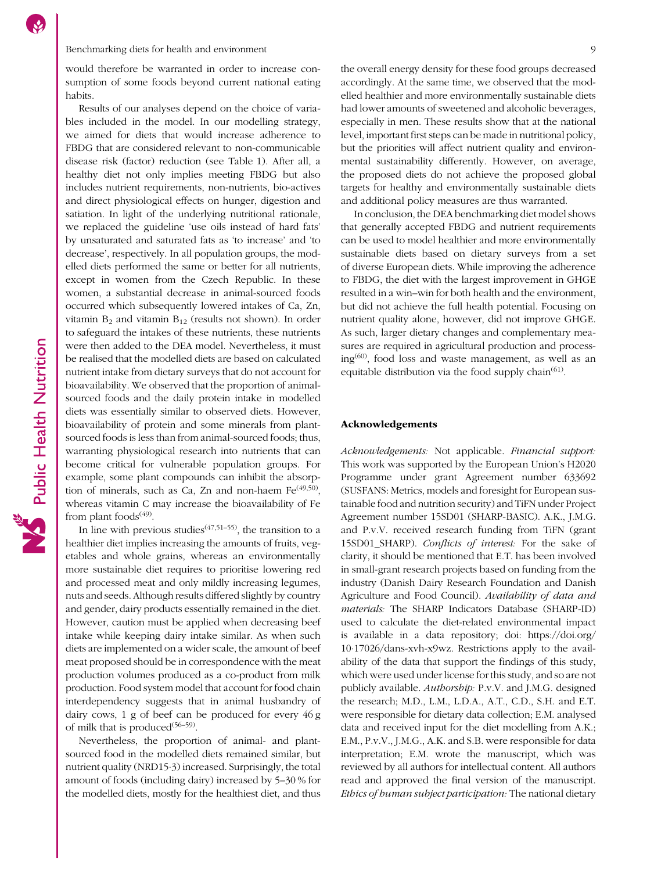Benchmarking diets for health and environment 9

would therefore be warranted in order to increase consumption of some foods beyond current national eating habits.

Results of our analyses depend on the choice of variables included in the model. In our modelling strategy, we aimed for diets that would increase adherence to FBDG that are considered relevant to non-communicable disease risk (factor) reduction (see Table [1](#page-2-0)). After all, a healthy diet not only implies meeting FBDG but also includes nutrient requirements, non-nutrients, bio-actives and direct physiological effects on hunger, digestion and satiation. In light of the underlying nutritional rationale, we replaced the guideline 'use oils instead of hard fats' by unsaturated and saturated fats as 'to increase' and 'to decrease', respectively. In all population groups, the modelled diets performed the same or better for all nutrients, except in women from the Czech Republic. In these women, a substantial decrease in animal-sourced foods occurred which subsequently lowered intakes of Ca, Zn, vitamin  $B_2$  and vitamin  $B_{12}$  (results not shown). In order to safeguard the intakes of these nutrients, these nutrients were then added to the DEA model. Nevertheless, it must be realised that the modelled diets are based on calculated nutrient intake from dietary surveys that do not account for bioavailability. We observed that the proportion of animalsourced foods and the daily protein intake in modelled diets was essentially similar to observed diets. However, bioavailability of protein and some minerals from plantsourced foods is less than from animal-sourced foods; thus, warranting physiological research into nutrients that can become critical for vulnerable population groups. For example, some plant compounds can inhibit the absorption of minerals, such as Ca, Zn and non-haem  $Fe^{(49,50)}$  $Fe^{(49,50)}$  $Fe^{(49,50)}$  $Fe^{(49,50)}$  $Fe^{(49,50)}$ , whereas vitamin C may increase the bioavailability of Fe from plant foods $(49)$ .

In line with previous studies<sup> $(47,51-55)$  $(47,51-55)$  $(47,51-55)$  $(47,51-55)$ </sup>, the transition to a healthier diet implies increasing the amounts of fruits, vegetables and whole grains, whereas an environmentally more sustainable diet requires to prioritise lowering red and processed meat and only mildly increasing legumes, nuts and seeds. Although results differed slightly by country and gender, dairy products essentially remained in the diet. However, caution must be applied when decreasing beef intake while keeping dairy intake similar. As when such diets are implemented on a wider scale, the amount of beef meat proposed should be in correspondence with the meat production volumes produced as a co-product from milk production. Food system model that account for food chain interdependency suggests that in animal husbandry of dairy cows, 1 g of beef can be produced for every 46 g of milk that is produced<sup>([56](#page-10-0)-[59\)](#page-10-0)</sup>.

Nevertheless, the proportion of animal- and plantsourced food in the modelled diets remained similar, but nutrient quality (NRD15·3) increased. Surprisingly, the total amount of foods (including dairy) increased by 5–30 % for the modelled diets, mostly for the healthiest diet, and thus the overall energy density for these food groups decreased accordingly. At the same time, we observed that the modelled healthier and more environmentally sustainable diets had lower amounts of sweetened and alcoholic beverages, especially in men. These results show that at the national level, important first steps can be made in nutritional policy, but the priorities will affect nutrient quality and environmental sustainability differently. However, on average, the proposed diets do not achieve the proposed global targets for healthy and environmentally sustainable diets and additional policy measures are thus warranted.

In conclusion, the DEA benchmarking diet model shows that generally accepted FBDG and nutrient requirements can be used to model healthier and more environmentally sustainable diets based on dietary surveys from a set of diverse European diets. While improving the adherence to FBDG, the diet with the largest improvement in GHGE resulted in a win–win for both health and the environment, but did not achieve the full health potential. Focusing on nutrient quality alone, however, did not improve GHGE. As such, larger dietary changes and complementary measures are required in agricultural production and processing[\(60\)](#page-10-0), food loss and waste management, as well as an equitable distribution via the food supply chain<sup>[\(61\)](#page-10-0)</sup>.

### Acknowledgements

Acknowledgements: Not applicable. Financial support: This work was supported by the European Union's H2020 Programme under grant Agreement number 633692 (SUSFANS: Metrics, models and foresight for European sustainable food and nutrition security) and TiFN under Project Agreement number 15SD01 (SHARP-BASIC). A.K., J.M.G. and P.v.V. received research funding from TiFN (grant 15SD01\_SHARP). Conflicts of interest: For the sake of clarity, it should be mentioned that E.T. has been involved in small-grant research projects based on funding from the industry (Danish Dairy Research Foundation and Danish Agriculture and Food Council). Availability of data and materials: The SHARP Indicators Database (SHARP-ID) used to calculate the diet-related environmental impact is available in a data repository; doi: [https://doi.org/](https://doi.org/1017026/dans-xvh-x9wz) [10·17026/dans-xvh-x9wz.](https://doi.org/1017026/dans-xvh-x9wz) Restrictions apply to the availability of the data that support the findings of this study, which were used under license for this study, and so are not publicly available. Authorship: P.v.V. and J.M.G. designed the research; M.D., L.M., L.D.A., A.T., C.D., S.H. and E.T. were responsible for dietary data collection; E.M. analysed data and received input for the diet modelling from A.K.; E.M., P.v.V., J.M.G., A.K. and S.B. were responsible for data interpretation; E.M. wrote the manuscript, which was reviewed by all authors for intellectual content. All authors read and approved the final version of the manuscript. Ethics of human subject participation: The national dietary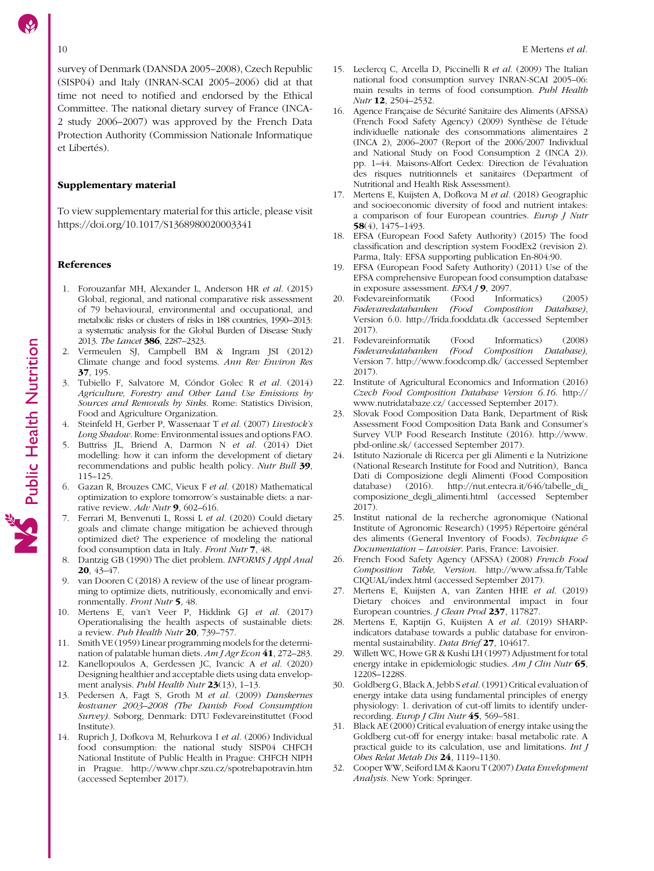<span id="page-9-0"></span>survey of Denmark (DANSDA 2005–2008), Czech Republic (SISP04) and Italy (INRAN-SCAI 2005–2006) did at that time not need to notified and endorsed by the Ethical Committee. The national dietary survey of France (INCA-2 study 2006–2007) was approved by the French Data Protection Authority (Commission Nationale Informatique et Libertés).

#### Supplementary material

To view supplementary material for this article, please visit <https://doi.org/10.1017/S1368980020003341>

#### References

- 1. Forouzanfar MH, Alexander L, Anderson HR et al. (2015) Global, regional, and national comparative risk assessment of 79 behavioural, environmental and occupational, and metabolic risks or clusters of risks in 188 countries, 1990–2013: a systematic analysis for the Global Burden of Disease Study 2013. The Lancet 386, 2287–2323.
- 2. Vermeulen SJ, Campbell BM & Ingram JSI (2012) Climate change and food systems. Ann Rev Environ Res 37, 195.
- 3. Tubiello F, Salvatore M, Cóndor Golec R et al. (2014) Agriculture, Forestry and Other Land Use Emissions by Sources and Removals by Sinks. Rome: Statistics Division, Food and Agriculture Organization.
- Steinfeld H, Gerber P, Wassenaar T et al. (2007) Livestock's Long Shadow. Rome: Environmental issues and options FAO.
- 5. Buttriss JL, Briend A, Darmon N et al. (2014) Diet modelling: how it can inform the development of dietary recommendations and public health policy. Nutr Bull 39, 115–125.
- 6. Gazan R, Brouzes CMC, Vieux F et al. (2018) Mathematical optimization to explore tomorrow's sustainable diets: a narrative review. Adv Nutr 9, 602-616.
- 7. Ferrari M, Benvenuti L, Rossi L et al. (2020) Could dietary goals and climate change mitigation be achieved through optimized diet? The experience of modeling the national food consumption data in Italy. Front Nutr 7, 48.
- 8. Dantzig GB (1990) The diet problem. INFORMS J Appl Anal  $20, 43 - 47.$
- 9. van Dooren C (2018) A review of the use of linear programming to optimize diets, nutritiously, economically and environmentally. Front Nutr 5, 48.
- Mertens E, van't Veer P, Hiddink GJ et al. (2017) Operationalising the health aspects of sustainable diets: a review. Pub Health Nutr 20, 739–757.
- 11. Smith VE (1959) Linear programming models for the determination of palatable human diets. Am J Agr Econ 41, 272–283.
- 12. Kanellopoulos A, Gerdessen JC, Ivancic A et al. (2020) Designing healthier and acceptable diets using data envelopment analysis. Publ Health Nutr 23(13), 1-13.
- 13. Pedersen A, Fagt S, Groth M et al. (2009) Danskernes kostvaner 2003–2008 (The Danish Food Consumption Survey). Søborg, Denmark: DTU Fødevareinstituttet (Food Institute).
- 14. Ruprich J, Dofkova M, Rehurkova I et al. (2006) Individual food consumption: the national study SISP04 CHFCH National Institute of Public Health in Prague: CHFCH NIPH in Prague.<http://www.chpr.szu.cz/spotrebapotravin.htm> (accessed September 2017).
- 15. Leclercq C, Arcella D, Piccinelli R et al. (2009) The Italian national food consumption survey INRAN-SCAI 2005–06: main results in terms of food consumption. Publ Health Nutr 12, 2504–2532.
- 16. Agence Française de Sécurité Sanitaire des Aliments (AFSSA) (French Food Safety Agency) (2009) Synthèse de l'étude individuelle nationale des consommations alimentaires 2 (INCA 2), 2006–2007 (Report of the 2006/2007 Individual and National Study on Food Consumption 2 (INCA 2)). pp. 1–44. Maisons-Alfort Cedex: Direction de l'évaluation des risques nutritionnels et sanitaires (Department of Nutritional and Health Risk Assessment).
- 17. Mertens E, Kuijsten A, Dofkova M et al. (2018) Geographic and socioeconomic diversity of food and nutrient intakes: a comparison of four European countries. Europ J Nutr 58(4), 1475–1493.
- 18. EFSA (European Food Safety Authority) (2015) The food classification and description system FoodEx2 (revision 2). Parma, Italy: EFSA supporting publication En-804:90.
- 19. EFSA (European Food Safety Authority) (2011) Use of the EFSA comprehensive European food consumption database in exposure assessment. EFSA J 9, 2097.
- 20. Fødevareinformatik (Food Informatics) (2005) Fødevaredatabanken (Food Composition Database), Version 6.0.<http://frida.fooddata.dk> (accessed September 2017).
- 21. Fødevareinformatik (Food Informatics) (2008) (Food Composition Database), Version 7.<http://www.foodcomp.dk/> (accessed September 2017).
- 22. Institute of Agricultural Economics and Information (2016) Czech Food Composition Database Version 6.16. [http://](http://www.nutridatabaze.cz/) [www.nutridatabaze.cz/](http://www.nutridatabaze.cz/) (accessed September 2017).
- 23. Slovak Food Composition Data Bank, Department of Risk Assessment Food Composition Data Bank and Consumer's Survey VUP Food Research Institute (2016). [http://www.](http://www.pbd-online.sk/) [pbd-online.sk/](http://www.pbd-online.sk/) (accessed September 2017).
- 24. Istituto Nazionale di Ricerca per gli Alimenti e la Nutrizione (National Research Institute for Food and Nutrition), Banca Dati di Composizione degli Alimenti (Food Composition database) (2016). [http://nut.entecra.it/646/tabelle\\_di\\_](http://nut.entecra.it/646/tabelle_di_composizione_degli_alimenti.html) [composizione\\_degli\\_alimenti.html](http://nut.entecra.it/646/tabelle_di_composizione_degli_alimenti.html) (accessed September 2017).
- 25. Institut national de la recherche agronomique (National Institute of Agronomic Research) (1995) Répertoire général des aliments (General Inventory of Foods). Technique  $\epsilon$ Documentation – Lavoisier. Paris, France: Lavoisier.
- 26. French Food Safety Agency (AFSSA) (2008) French Food Composition Table, Version. [http://www.afssa.fr/Table](http://www.afssa.fr/TableCIQUAL/index.html) [CIQUAL/index.html](http://www.afssa.fr/TableCIQUAL/index.html) (accessed September 2017).
- 27. Mertens E, Kuijsten A, van Zanten HHE et al. (2019) Dietary choices and environmental impact in four European countries. J Clean Prod 237, 117827.
- 28. Mertens E, Kaptijn G, Kuijsten A et al. (2019) SHARPindicators database towards a public database for environmental sustainability. Data Brief 27, 104617.
- 29. Willett WC, Howe GR & Kushi LH (1997) Adjustment for total energy intake in epidemiologic studies. Am J Clin Nutr 65, 1220S–1228S.
- 30. Goldberg G, Black A, Jebb S et al. (1991) Critical evaluation of energy intake data using fundamental principles of energy physiology: 1. derivation of cut-off limits to identify underrecording. Europ J Clin Nutr 45, 569-581.
- 31. Black AE (2000) Critical evaluation of energy intake using the Goldberg cut-off for energy intake: basal metabolic rate. A practical guide to its calculation, use and limitations. Int J Obes Relat Metab Dis 24, 1119–1130.
- 32. Cooper WW, Seiford LM & Kaoru T (2007) Data Envelopment Analysis. New York: Springer.